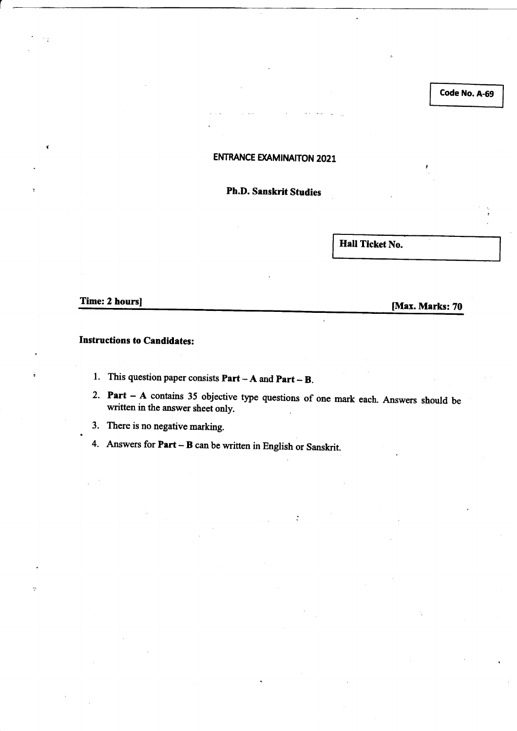Code No. A-69

### **ENTRANCE EXAMINAITON 2021**

Ph.D. Sanskrit Studies

Hall Ticket No.

.

Time: 2 hours] [Max. Marks: 70]

#### **Instructions to Candidates:**

1. This question paper consists  $Part - A$  and  $Part - B$ .

2. Part  $-$  A contains 35 objective type questions of one mark each. Answers should be written in the answer sheet only.

 $\overline{a}$ 

3. There is no negative marking.

4. Answers for  $Part - B$  can be written in English or Sanskrit.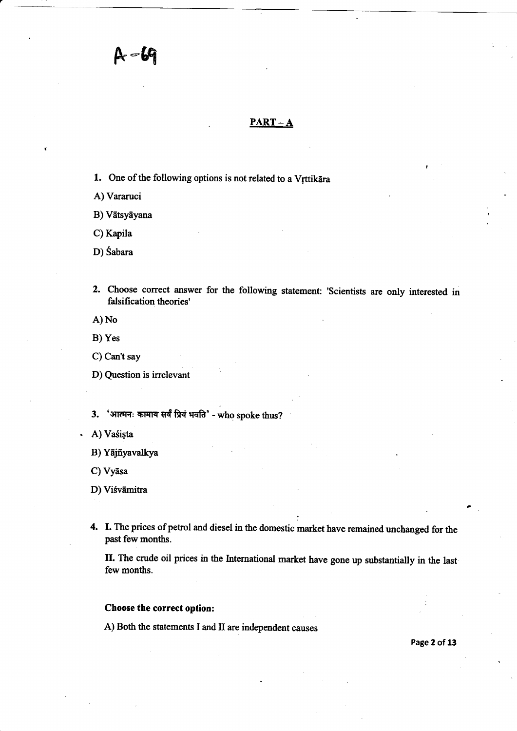$A - 69$ 

#### $PART - A$

1. One of the following options is not related to a Vrttikara

A) Vararuci

B) Vātsyāyana

C) Kapila

D) Sabara

2. Choose correct answer for the following statement: 'scientists are only interested in falsification theories'

A) No

- B) Yes
- C) Can't say
- D) Question is irrelevant
- $3.$  'आत्मनः कामाय सर्वं प्रियं भवति' who spoke thus?
- A) Vaśișta
	- B) Yājñyavalkya
	- C) Vyāsa

D) Viśvāmitra

4. I. The prices of petrol and diesel in the domestic market have remained unchanged for the past fewmonths.

II. The crude oil prices in the International market have gone up substantially in the last few months.

#### Choose the correct option:

A) Both the statements I and II are independent causes

Page 2 of 13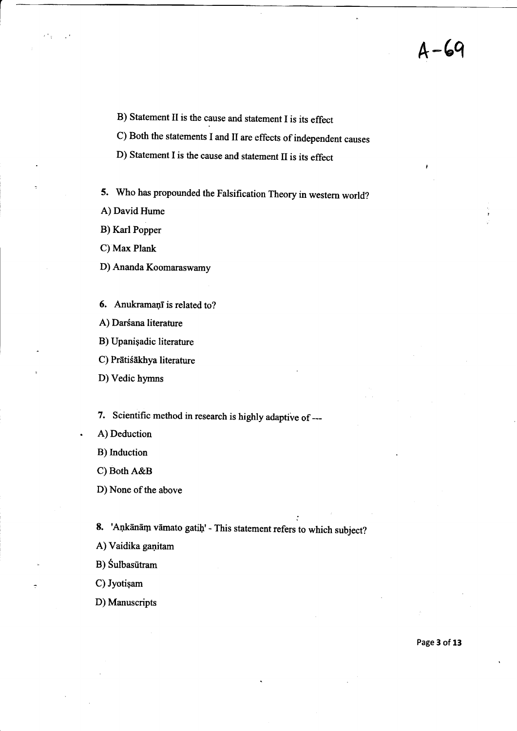$A - 69$ 

B) Statement II is the cause and statement I is its effect

c) Both the statements I and II are effects of independent causes

D) Statement I is the cause and statement II is its effect

5. who has propounded the Falsification Theory in westem world?

- A) David Hume
- B) Karl Popper

C) Max Plank

D) Ananda Koomaraswamy

- 6. Anukramani is related to?
- A) Darśana literature
- B) Upanigadic literature
- C) Prātiśākhya literature
- D) Vedic hymns

7. Scientific method in research is highly adaptive of ---

- . A) Deduction
- B) Induction
- C) Both A&B

D) None of the above

8. 'Ankānām vāmato gatiḥ' - This statement refers to which subject?

A) Vaidika ganitam

B) Sulbasūtram

C) Jyotigam

D) Manuscripts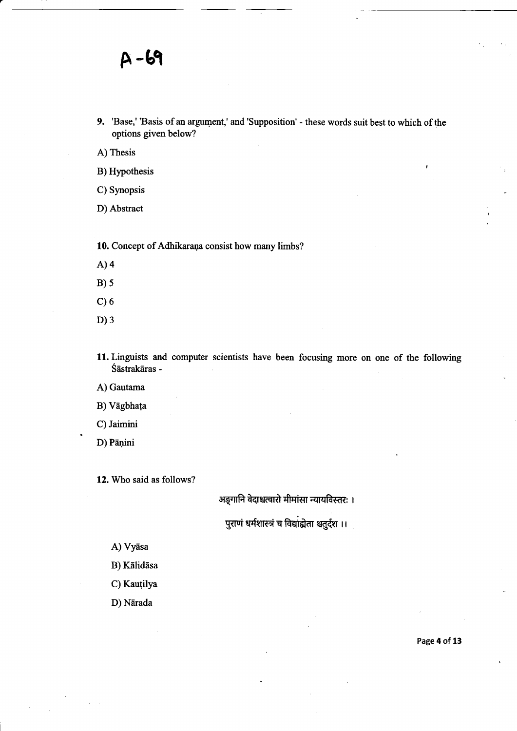9. 'Base,' 'Basis of an argument,' and'Supposition' - these words suit best to which of the options given below?

A) Thesis

- B) Hypothesis
- C) Synopsis
- D) Abstract

10. Concept of Adhikarana consist how many limbs?

- A)4
- $B)5$
- $C$ ) 6
- D) 3
- 11. Linguists and computer scientists have been focusing more on one of the following Śāstrakāras -

A) Gautama

B) Vāgbhața

C) Jaimini

D) Pāņini

12. Who said as follows?

### अङ्गानि वेदाश्चत्वारो मीमांसा न्यायविस्तरः ।

पुराणं धर्मशास्त्रं च विद्यांह्येता श्चतुर्दश ।।

A) Vyāsa

- B) Kālidāsa
- C) Kauțilya

D) Nārada

Page 4 of 13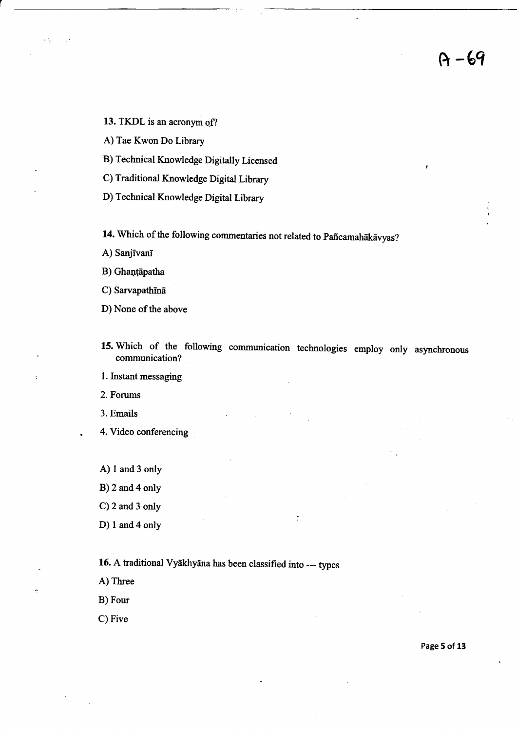13. TKDL is an acronym of?

A) Tae Kwon Do Library

B) Technical Knowledge Digitally Licensed

C) Traditional Knowledge Digital Library

D) Technical Knowledge Digital Library

14. Which of the following commentaries not related to Pañcamahākāvyas?

A) Sanjīvanī

 $\mathbf{r}^{-1}$ 

B) Ghanțāpatha

C) Sarvapathīnā

D) None of the above

15. Which of the following communication technologies employ only asynchronous communication?

 $\ddot{\cdot}$ 

l. Instant messaging

2. Forums

3. Emails

. 4. Video conferencing

A) 1 and 3 only

B)2and4only

C)2 and 3 only

D) 1 and 4 only

16. A traditional Vyākhyāna has been classified into --- types

A) Three

B) Four

C) Five

Page 5 of 13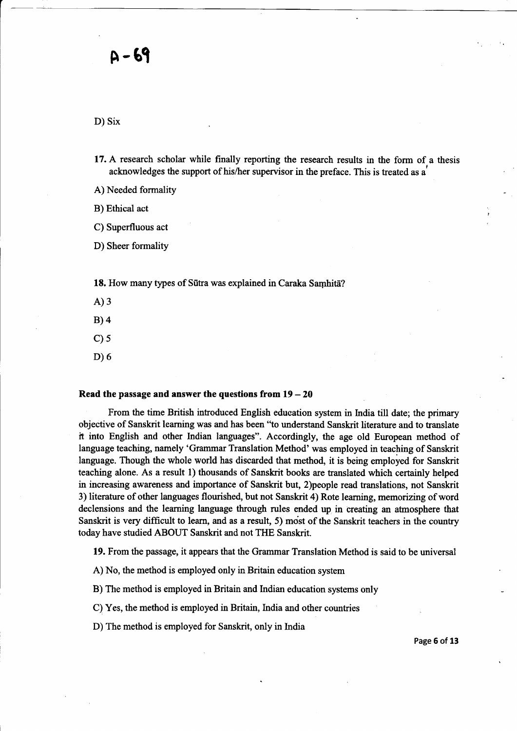D) Six

- 17. A research scholar while finally reporting the research results in the form of a thesis acknowledges the support of his/her supervisor in the preface. This is treated as a'
- A) Needed formality

B) Ethical act

C) Superfluous act

D) Sheer formality

18. How many types of Sūtra was explained in Caraka Samhita?

A)3

B)4

- $C$ ) 5
- D) 6

#### Read the passage and answer the questions from  $19 - 20$

From the time British infroduced English eduoation system in India till date; the primary objective of Sanskrit learning was and has been'to understand Sanskrit literature and to translate it into English and other Indian languages". Accordingly, the age old European method of language teaching, namely 'Grammar Translation Method' was employed in teaching of Sanskrit language. Though the whole world has discarded that method, it is being employed for Sanskrit teaching alone. As a result 1) thousands of Sanskrit books are translated which certainly helped in increasing awareness and importance of Sanskrit but, 2)people read translations, not Sanskrit 3) literature of other languages flourished, but not Sanskrit 4) Rote leaming, memorizing of word declensions and the leaming language through rules ended up in creating an atrnosphere that Sanskrit is very difficult to learn, and as a result, 5) most of the Sanskrit teachers in the country today have studied ABOUT Sanskrit and not THE Sanskrit.

19. From the passage, it appears that the Grammar Translation Method is said to be universal

A) No, the method is employed only in Britain education system

B) The method is employed in Britain and Indian education systems only

C) Yes, the method is employed in Britain, lndia and other countries

D) The method is employed for Sanskrit, only in India

Page 6 of 13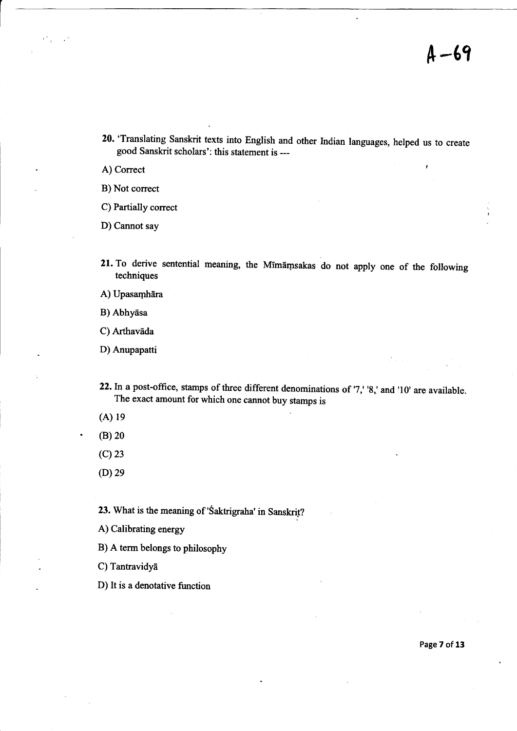20.'Translating Sanskrit texts into English and other Indian languages, helped us to create good Sanskrit scholars': this statement is --

A) Correct and the contract of the contract of the contract of the contract of the contract of the contract of the contract of the contract of the contract of the contract of the contract of the contract of the contract of

B) Not correct

C) Partially correct

D) Cannot say

21. To derive sentential meaning, the Mīmāmsakas do not apply one of the following techniques

A) Upasamhāra

B) Abhyasa

C) Arthavāda

D) Anupapatti

- 22. In a post-office, stamps of three different denominations of '7,' '8,' and '10' are available. The exact amount for which one cannot buy stamps is
- $(A)$  19
- $(B)$  20
- (c)23
- $(D)29$

23. What is the meaning of 'Śaktrigraha' in Sanskrit?

A) Calibrating energy

B) A term belongs to philosophy

C) Tantravidyā

D) It is a denotative function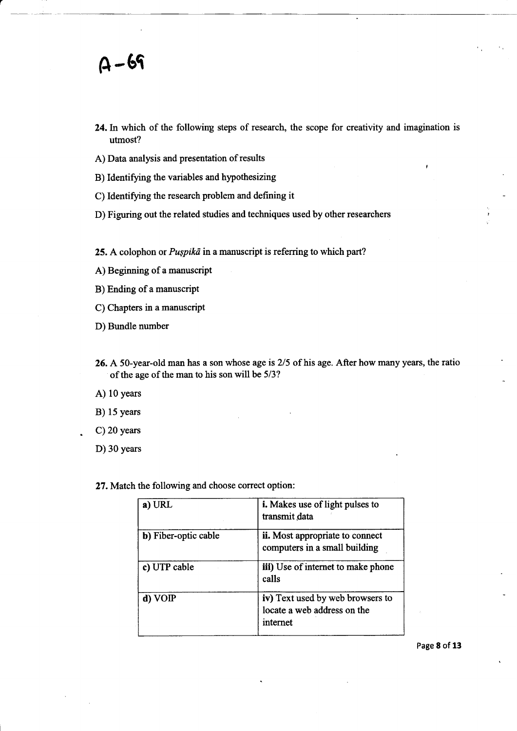- 24.In which of the following steps of research, the scope for creativity and imagination is utmost?
- A) Data analysis and presentation of results
- B) Identifying the variables and hypothesizing
- C) Identifying the research problem and defining it
- D) Figuring out the related studies and techniques used by other researchers

25. A colophon or  $Puspik\bar{a}$  in a manuscript is referring to which part?

A) Beginning of a manuscript

B) Ending of a manuscript

- C) Chapters in a manuscript
- D) Bundle number
- 26. A 50-year-old man has a son whose age is 2/5 of his age. After how many years, the ratio of the age of the man to his son will be 5/3?
- A) 10 years
- B) 15 years
- C) 20 years
- D) 30 years

27. Match the following and choose correct option:

| a) URL               | <i>i.</i> Makes use of light pulses to<br>transmit data<br>ii. Most appropriate to connect<br>computers in a small building |  |  |  |  |
|----------------------|-----------------------------------------------------------------------------------------------------------------------------|--|--|--|--|
| b) Fiber-optic cable |                                                                                                                             |  |  |  |  |
| c) UTP cable         | iii) Use of internet to make phone<br>calls                                                                                 |  |  |  |  |
| d) VOIP              | iv) Text used by web browsers to<br>locate a web address on the<br>internet                                                 |  |  |  |  |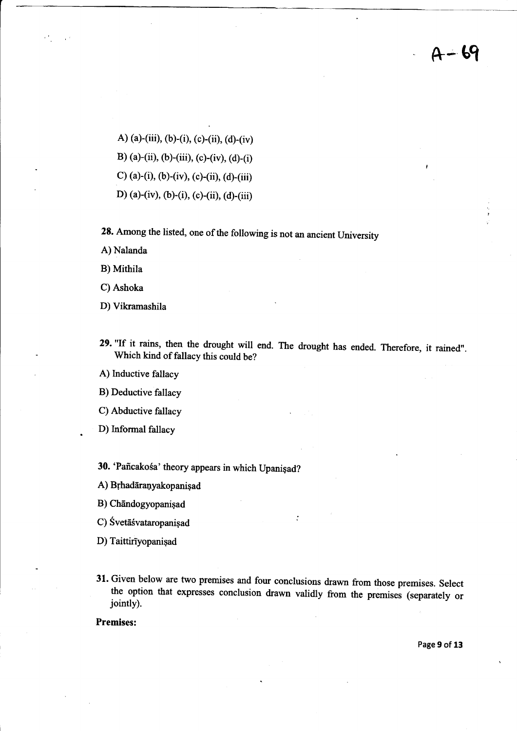-- 69

A) (a)-(iii), (b)-(i), (c)-(ii), (d)-(iv)

B) (a)-(ii), (b)-(iii), (c)-(iv), (d)-(i)

C) (a)-(i), (b)-(iv), (c)-(ii), (d)-(iii)

D) (a)-(iv), (b)-(i), (c)-(ii), (d)-(iii)

28. Among the listed, one of the following is not an ancient University

A) Nalanda

B) Mithila

C) Ashoka

D) Vikramashila

29. "If it rains, then the drought will end. The drought has ended. Therefore, it rained". Which kind of fallacy this could be?

A) lnductive fallacy

B) Deductive fallacy

C) Abductive fallacy

D) Informal fallacy

30. 'Paffcako6a' theory appears in which Upanigad?

A) Brhadāranyakopanişad

B) Chandogyopanişad

C) Svetāśvataropanisad

D) Taittirīyopanişad

31. Given below are two premises and four conclusions drawn from those premises. Select the option that expresses conclusion drawn validly from the premises (separately or jointly).

Premises:

Page 9 of 13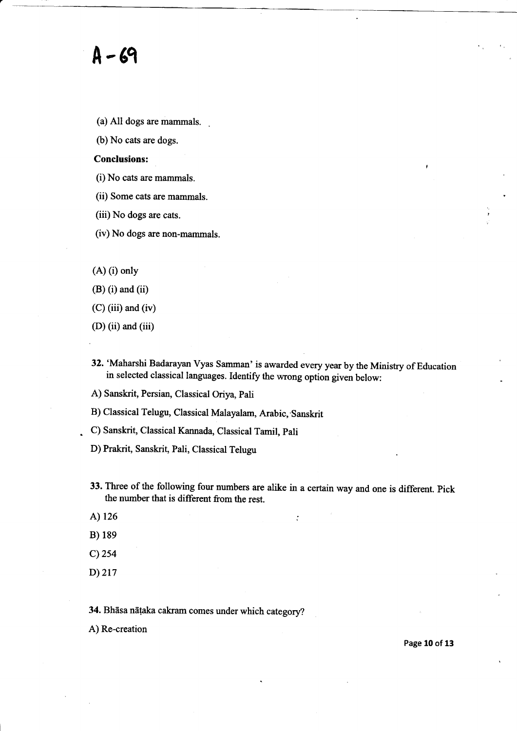## A-6q

- (a) All dogs are mammals.
- (b) No cats are dogs.

#### Conclusions:

- (i) No cats are mammals.
- (ii) Some cats are mammals.
- (iii) No dogs are cats.
- (iv) No dogs are non-mammals.
- (A) (i) only
- $(B)$  (i) and (ii)
- $(C)$  (iii) and (iv)
- (D) (ii) and (iii)
- 32. 'Maharshi Badarayan Vyas Samman' is awarded every year by the Ministry of Education in selected classical languages. Identify the wrong option given below:
- A) Sanskrit, Persian, Classical Oriya, pali
- B) Classical Telugu, Classical Malayalam, Arabic, Sanskrit
- . C) Sanskrit, Classical Kannada, Classical Tamil, pali
- D) Prakrit, Sanskrit, Pali, Classical Telugu
- 33. Three of the following four numbers are alike in a certain way and one is different. pick the number that is different from the rest.

 $\ddot{\cdot}$ 

- A) 126
- B) 18e
- c)2s4
- D)217

34. Bhāsa nāṭaka cakram comes under which category?

A) Re-creation

Page 10 of 13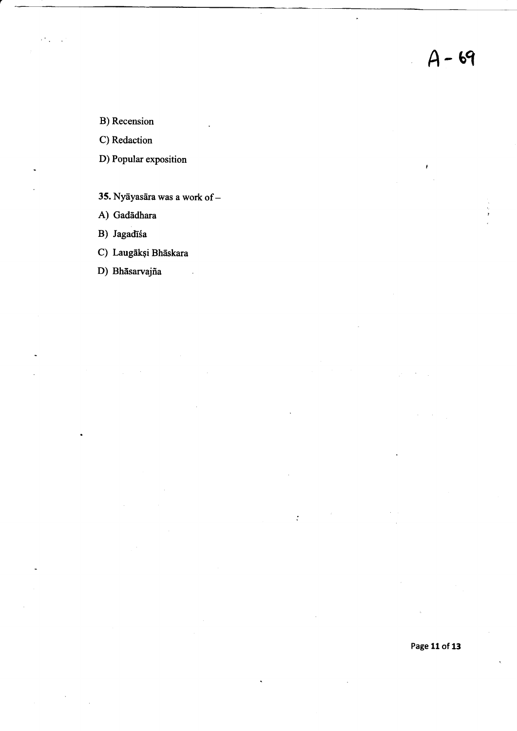$\overline{a}$ 

 $\ddot{\cdot}$ 

B) Recension

C) Redaction

D) Popular exposition

- 35. Nyāyasāra was a work of  $-$
- A) Gadādhara

B) Jagadīśa

C) Laugākși Bhāskara

D) Bhāsarvajña

Page 11 of 13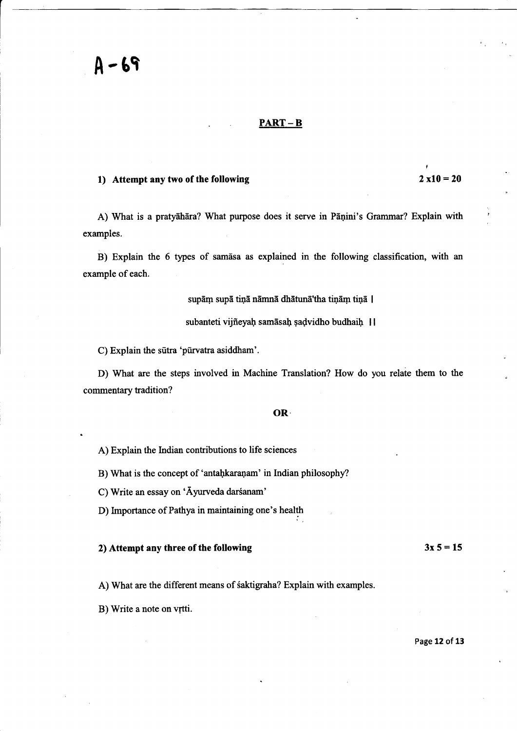#### PART - B

#### 1) Attempt any two of the following

#### $2 \times 10 = 20$

t

A) What is a pratyāhāra? What purpose does it serve in Pānini's Grammar? Explain with examples.

B) Explain the 6 types of samdsa as explained in the following classification, with an example of each.

supām supā tiņā nāmnā dhātunā'tha tiņām tiņā |

subanteti vijñeyaḥ samāsaḥ șaḍvidho budhaiḥ |

C) Explain the sutra 'purvatra asiddham'.

D) What are the steps involved in Machine Translation? How do you relate them to the commentary tradition?

#### oR.

A) Explain the Indian contributions to life sciences

B) What is the concept of 'antahkaranam' in Indian philosophy?

C) Write an essay on 'Āyurveda darśanam'

D) Importance of Pathya in maintaining one's health

#### 2) Attempt any three of the following

A) What are the different means of saktigraha? Explain with examples.

B) Write a note on vrtti.

#### Page 12 of 13

 $3x 5 = 15$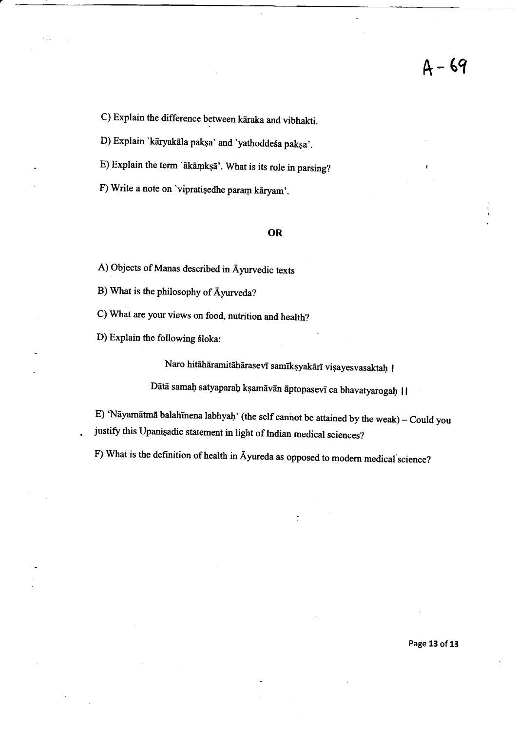C) Explain the difference between kāraka and vibhakti.

D) Explain 'kāryakāla pakṣa' and 'yathoddeśa pakṣa'.

E) Explain the term 'ākāmkṣā'. What is its role in parsing?

F) Write a note on 'vipratisedhe param kāryam'.

#### OR

A) Objects of Manas described in Ayurvedic texts

B) What is the philosophy of Ayurveda?

C) What are your views on food, nutrition and health?

D) Explain the following śloka:

.

Naro hitāhāramitāhārasevī samīkṣyakārī viṣayesvasaktaḥ |

Dātā samaḥ satyaparaḥ kṣamāvān āptopasevī ca bhavatyarogaḥ | |

 $\cdot$ 

E) 'Nāyamātmā balahīnena labhyaḥ' (the self cannot be attained by the weak) - Could you justify this Upanisadic statement in light of Indian medical sciences?

F) What is the definition of health in Ayureda as opposed to modern medical'science?

Page 13 of 13